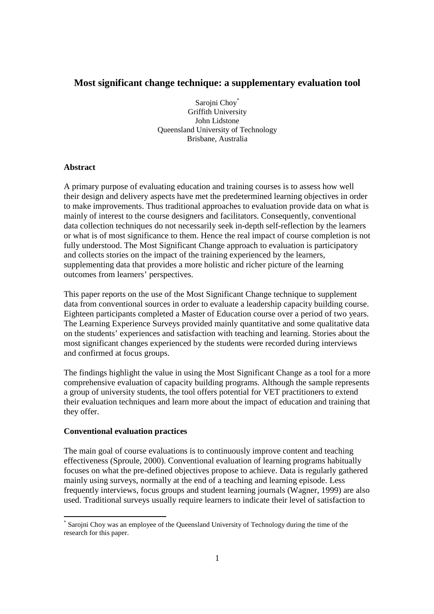# **Most significant change technique: a supplementary evaluation tool**

Sarojni Choy\* Griffith University John Lidstone Queensland University of Technology Brisbane, Australia

## **Abstract**

A primary purpose of evaluating education and training courses is to assess how well their design and delivery aspects have met the predetermined learning objectives in order to make improvements. Thus traditional approaches to evaluation provide data on what is mainly of interest to the course designers and facilitators. Consequently, conventional data collection techniques do not necessarily seek in-depth self-reflection by the learners or what is of most significance to them. Hence the real impact of course completion is not fully understood. The Most Significant Change approach to evaluation is participatory and collects stories on the impact of the training experienced by the learners, supplementing data that provides a more holistic and richer picture of the learning outcomes from learners' perspectives.

This paper reports on the use of the Most Significant Change technique to supplement data from conventional sources in order to evaluate a leadership capacity building course. Eighteen participants completed a Master of Education course over a period of two years. The Learning Experience Surveys provided mainly quantitative and some qualitative data on the students' experiences and satisfaction with teaching and learning. Stories about the most significant changes experienced by the students were recorded during interviews and confirmed at focus groups.

The findings highlight the value in using the Most Significant Change as a tool for a more comprehensive evaluation of capacity building programs. Although the sample represents a group of university students, the tool offers potential for VET practitioners to extend their evaluation techniques and learn more about the impact of education and training that they offer.

### **Conventional evaluation practices**

 $\overline{a}$ 

The main goal of course evaluations is to continuously improve content and teaching effectiveness (Sproule, 2000). Conventional evaluation of learning programs habitually focuses on what the pre-defined objectives propose to achieve. Data is regularly gathered mainly using surveys, normally at the end of a teaching and learning episode. Less frequently interviews, focus groups and student learning journals (Wagner, 1999) are also used. Traditional surveys usually require learners to indicate their level of satisfaction to

<sup>\*</sup> Sarojni Choy was an employee of the Queensland University of Technology during the time of the research for this paper.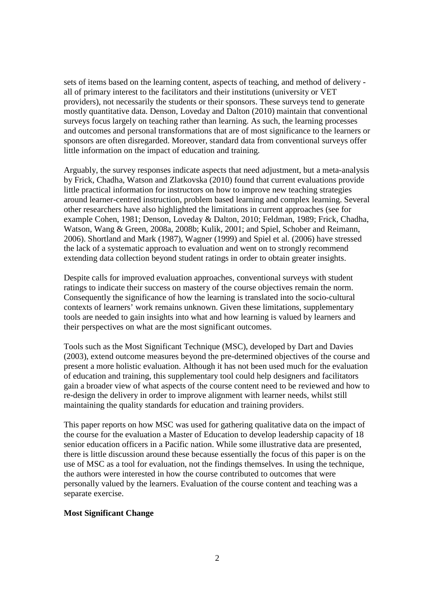sets of items based on the learning content, aspects of teaching, and method of delivery all of primary interest to the facilitators and their institutions (university or VET providers), not necessarily the students or their sponsors. These surveys tend to generate mostly quantitative data. Denson, Loveday and Dalton (2010) maintain that conventional surveys focus largely on teaching rather than learning. As such, the learning processes and outcomes and personal transformations that are of most significance to the learners or sponsors are often disregarded. Moreover, standard data from conventional surveys offer little information on the impact of education and training.

Arguably, the survey responses indicate aspects that need adjustment, but a meta-analysis by Frick, Chadha, Watson and Zlatkovska (2010) found that current evaluations provide little practical information for instructors on how to improve new teaching strategies around learner-centred instruction, problem based learning and complex learning. Several other researchers have also highlighted the limitations in current approaches (see for example Cohen, 1981; Denson, Loveday & Dalton, 2010; Feldman, 1989; Frick, Chadha, Watson, Wang & Green, 2008a, 2008b; Kulik, 2001; and Spiel, Schober and Reimann, 2006). Shortland and Mark (1987), Wagner (1999) and Spiel et al. (2006) have stressed the lack of a systematic approach to evaluation and went on to strongly recommend extending data collection beyond student ratings in order to obtain greater insights.

Despite calls for improved evaluation approaches, conventional surveys with student ratings to indicate their success on mastery of the course objectives remain the norm. Consequently the significance of how the learning is translated into the socio-cultural contexts of learners' work remains unknown. Given these limitations, supplementary tools are needed to gain insights into what and how learning is valued by learners and their perspectives on what are the most significant outcomes.

Tools such as the Most Significant Technique (MSC), developed by Dart and Davies (2003), extend outcome measures beyond the pre-determined objectives of the course and present a more holistic evaluation. Although it has not been used much for the evaluation of education and training, this supplementary tool could help designers and facilitators gain a broader view of what aspects of the course content need to be reviewed and how to re-design the delivery in order to improve alignment with learner needs, whilst still maintaining the quality standards for education and training providers.

This paper reports on how MSC was used for gathering qualitative data on the impact of the course for the evaluation a Master of Education to develop leadership capacity of 18 senior education officers in a Pacific nation. While some illustrative data are presented, there is little discussion around these because essentially the focus of this paper is on the use of MSC as a tool for evaluation, not the findings themselves. In using the technique, the authors were interested in how the course contributed to outcomes that were personally valued by the learners. Evaluation of the course content and teaching was a separate exercise.

### **Most Significant Change**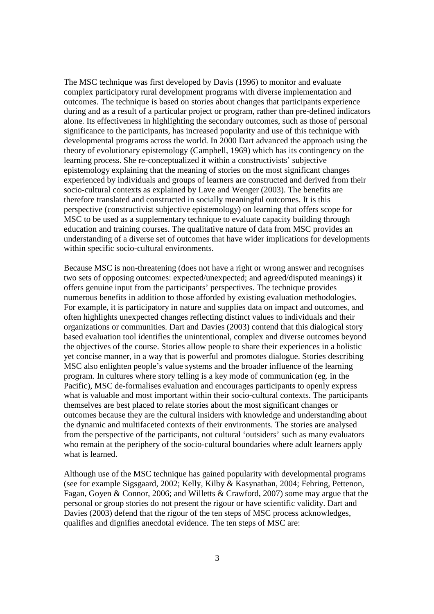The MSC technique was first developed by Davis (1996) to monitor and evaluate complex participatory rural development programs with diverse implementation and outcomes. The technique is based on stories about changes that participants experience during and as a result of a particular project or program, rather than pre-defined indicators alone. Its effectiveness in highlighting the secondary outcomes, such as those of personal significance to the participants, has increased popularity and use of this technique with developmental programs across the world. In 2000 Dart advanced the approach using the theory of evolutionary epistemology (Campbell, 1969) which has its contingency on the learning process. She re-conceptualized it within a constructivists' subjective epistemology explaining that the meaning of stories on the most significant changes experienced by individuals and groups of learners are constructed and derived from their socio-cultural contexts as explained by Lave and Wenger (2003). The benefits are therefore translated and constructed in socially meaningful outcomes. It is this perspective (constructivist subjective epistemology) on learning that offers scope for MSC to be used as a supplementary technique to evaluate capacity building through education and training courses. The qualitative nature of data from MSC provides an understanding of a diverse set of outcomes that have wider implications for developments within specific socio-cultural environments.

Because MSC is non-threatening (does not have a right or wrong answer and recognises two sets of opposing outcomes: expected/unexpected; and agreed/disputed meanings) it offers genuine input from the participants' perspectives. The technique provides numerous benefits in addition to those afforded by existing evaluation methodologies. For example, it is participatory in nature and supplies data on impact and outcomes, and often highlights unexpected changes reflecting distinct values to individuals and their organizations or communities. Dart and Davies (2003) contend that this dialogical story based evaluation tool identifies the unintentional, complex and diverse outcomes beyond the objectives of the course. Stories allow people to share their experiences in a holistic yet concise manner, in a way that is powerful and promotes dialogue. Stories describing MSC also enlighten people's value systems and the broader influence of the learning program. In cultures where story telling is a key mode of communication (eg. in the Pacific), MSC de-formalises evaluation and encourages participants to openly express what is valuable and most important within their socio-cultural contexts. The participants themselves are best placed to relate stories about the most significant changes or outcomes because they are the cultural insiders with knowledge and understanding about the dynamic and multifaceted contexts of their environments. The stories are analysed from the perspective of the participants, not cultural 'outsiders' such as many evaluators who remain at the periphery of the socio-cultural boundaries where adult learners apply what is learned.

Although use of the MSC technique has gained popularity with developmental programs (see for example Sigsgaard, 2002; Kelly, Kilby & Kasynathan, 2004; Fehring, Pettenon, Fagan, Goyen & Connor, 2006; and Willetts & Crawford, 2007) some may argue that the personal or group stories do not present the rigour or have scientific validity. Dart and Davies (2003) defend that the rigour of the ten steps of MSC process acknowledges, qualifies and dignifies anecdotal evidence. The ten steps of MSC are: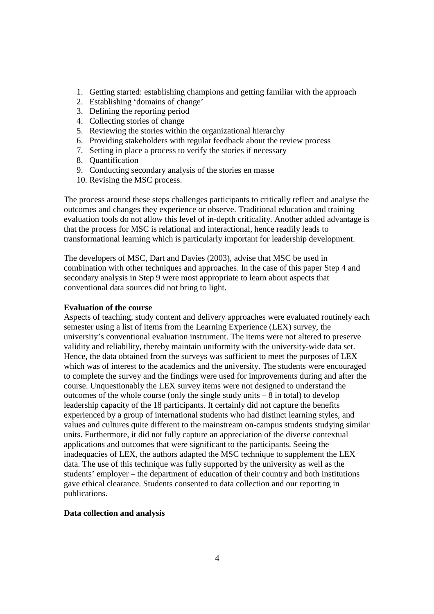- 1. Getting started: establishing champions and getting familiar with the approach
- 2. Establishing 'domains of change'
- 3. Defining the reporting period
- 4. Collecting stories of change
- 5. Reviewing the stories within the organizational hierarchy
- 6. Providing stakeholders with regular feedback about the review process
- 7. Setting in place a process to verify the stories if necessary
- 8. Quantification
- 9. Conducting secondary analysis of the stories en masse
- 10. Revising the MSC process.

The process around these steps challenges participants to critically reflect and analyse the outcomes and changes they experience or observe. Traditional education and training evaluation tools do not allow this level of in-depth criticality. Another added advantage is that the process for MSC is relational and interactional, hence readily leads to transformational learning which is particularly important for leadership development.

The developers of MSC, Dart and Davies (2003), advise that MSC be used in combination with other techniques and approaches. In the case of this paper Step 4 and secondary analysis in Step 9 were most appropriate to learn about aspects that conventional data sources did not bring to light.

## **Evaluation of the course**

Aspects of teaching, study content and delivery approaches were evaluated routinely each semester using a list of items from the Learning Experience (LEX) survey, the university's conventional evaluation instrument. The items were not altered to preserve validity and reliability, thereby maintain uniformity with the university-wide data set. Hence, the data obtained from the surveys was sufficient to meet the purposes of LEX which was of interest to the academics and the university. The students were encouraged to complete the survey and the findings were used for improvements during and after the course. Unquestionably the LEX survey items were not designed to understand the outcomes of the whole course (only the single study units  $-8$  in total) to develop leadership capacity of the 18 participants. It certainly did not capture the benefits experienced by a group of international students who had distinct learning styles, and values and cultures quite different to the mainstream on-campus students studying similar units. Furthermore, it did not fully capture an appreciation of the diverse contextual applications and outcomes that were significant to the participants. Seeing the inadequacies of LEX, the authors adapted the MSC technique to supplement the LEX data. The use of this technique was fully supported by the university as well as the students' employer – the department of education of their country and both institutions gave ethical clearance. Students consented to data collection and our reporting in publications.

# **Data collection and analysis**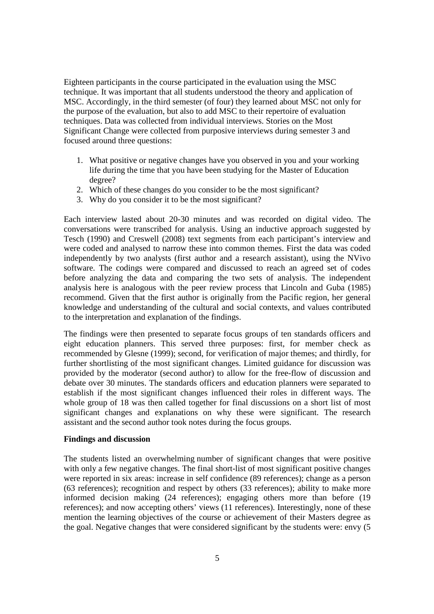Eighteen participants in the course participated in the evaluation using the MSC technique. It was important that all students understood the theory and application of MSC. Accordingly, in the third semester (of four) they learned about MSC not only for the purpose of the evaluation, but also to add MSC to their repertoire of evaluation techniques. Data was collected from individual interviews. Stories on the Most Significant Change were collected from purposive interviews during semester 3 and focused around three questions:

- 1. What positive or negative changes have you observed in you and your working life during the time that you have been studying for the Master of Education degree?
- 2. Which of these changes do you consider to be the most significant?
- 3. Why do you consider it to be the most significant?

Each interview lasted about 20-30 minutes and was recorded on digital video. The conversations were transcribed for analysis. Using an inductive approach suggested by Tesch (1990) and Creswell (2008) text segments from each participant's interview and were coded and analysed to narrow these into common themes. First the data was coded independently by two analysts (first author and a research assistant), using the NVivo software. The codings were compared and discussed to reach an agreed set of codes before analyzing the data and comparing the two sets of analysis. The independent analysis here is analogous with the peer review process that Lincoln and Guba (1985) recommend. Given that the first author is originally from the Pacific region, her general knowledge and understanding of the cultural and social contexts, and values contributed to the interpretation and explanation of the findings.

The findings were then presented to separate focus groups of ten standards officers and eight education planners. This served three purposes: first, for member check as recommended by Glesne (1999); second, for verification of major themes; and thirdly, for further shortlisting of the most significant changes. Limited guidance for discussion was provided by the moderator (second author) to allow for the free-flow of discussion and debate over 30 minutes. The standards officers and education planners were separated to establish if the most significant changes influenced their roles in different ways. The whole group of 18 was then called together for final discussions on a short list of most significant changes and explanations on why these were significant. The research assistant and the second author took notes during the focus groups.

## **Findings and discussion**

The students listed an overwhelming number of significant changes that were positive with only a few negative changes. The final short-list of most significant positive changes were reported in six areas: increase in self confidence (89 references); change as a person (63 references); recognition and respect by others (33 references); ability to make more informed decision making (24 references); engaging others more than before (19 references); and now accepting others' views (11 references). Interestingly, none of these mention the learning objectives of the course or achievement of their Masters degree as the goal. Negative changes that were considered significant by the students were: envy (5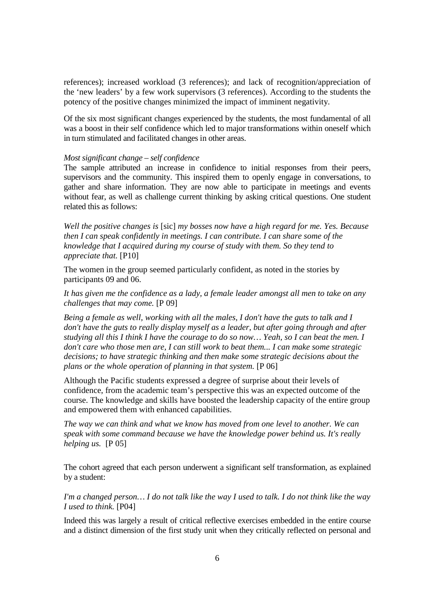references); increased workload (3 references); and lack of recognition/appreciation of the 'new leaders' by a few work supervisors (3 references). According to the students the potency of the positive changes minimized the impact of imminent negativity.

Of the six most significant changes experienced by the students, the most fundamental of all was a boost in their self confidence which led to major transformations within oneself which in turn stimulated and facilitated changes in other areas.

### *Most significant change – self confidence*

The sample attributed an increase in confidence to initial responses from their peers, supervisors and the community. This inspired them to openly engage in conversations, to gather and share information. They are now able to participate in meetings and events without fear, as well as challenge current thinking by asking critical questions. One student related this as follows:

*Well the positive changes is* [sic] *my bosses now have a high regard for me. Yes. Because then I can speak confidently in meetings. I can contribute. I can share some of the knowledge that I acquired during my course of study with them. So they tend to appreciate that.* [P10]

The women in the group seemed particularly confident, as noted in the stories by participants 09 and 06.

*It has given me the confidence as a lady, a female leader amongst all men to take on any challenges that may come.* [P 09]

*Being a female as well, working with all the males, I don't have the guts to talk and I don't have the guts to really display myself as a leader, but after going through and after studying all this I think I have the courage to do so now… Yeah, so I can beat the men. I don't care who those men are, I can still work to beat them... I can make some strategic decisions; to have strategic thinking and then make some strategic decisions about the plans or the whole operation of planning in that system.* [P 06]

Although the Pacific students expressed a degree of surprise about their levels of confidence, from the academic team's perspective this was an expected outcome of the course. The knowledge and skills have boosted the leadership capacity of the entire group and empowered them with enhanced capabilities.

*The way we can think and what we know has moved from one level to another. We can speak with some command because we have the knowledge power behind us. It's really helping us.* [P 05]

The cohort agreed that each person underwent a significant self transformation, as explained by a student:

*I'm a changed person… I do not talk like the way I used to talk. I do not think like the way I used to think.* [P04]

Indeed this was largely a result of critical reflective exercises embedded in the entire course and a distinct dimension of the first study unit when they critically reflected on personal and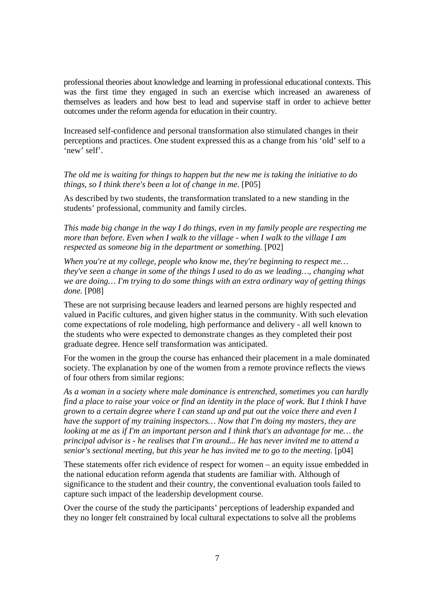professional theories about knowledge and learning in professional educational contexts. This was the first time they engaged in such an exercise which increased an awareness of themselves as leaders and how best to lead and supervise staff in order to achieve better outcomes under the reform agenda for education in their country.

Increased self-confidence and personal transformation also stimulated changes in their perceptions and practices. One student expressed this as a change from his 'old' self to a 'new' self'.

*The old me is waiting for things to happen but the new me is taking the initiative to do things, so I think there's been a lot of change in me.* [P05]

As described by two students, the transformation translated to a new standing in the students' professional, community and family circles.

*This made big change in the way I do things, even in my family people are respecting me more than before. Even when I walk to the village - when I walk to the village I am respected as someone big in the department or something.* [P02]

*When you're at my college, people who know me, they're beginning to respect me… they've seen a change in some of the things I used to do as we leading…, changing what we are doing… I'm trying to do some things with an extra ordinary way of getting things done.* [P08]

These are not surprising because leaders and learned persons are highly respected and valued in Pacific cultures, and given higher status in the community. With such elevation come expectations of role modeling, high performance and delivery - all well known to the students who were expected to demonstrate changes as they completed their post graduate degree. Hence self transformation was anticipated.

For the women in the group the course has enhanced their placement in a male dominated society. The explanation by one of the women from a remote province reflects the views of four others from similar regions:

*As a woman in a society where male dominance is entrenched, sometimes you can hardly find a place to raise your voice or find an identity in the place of work. But I think I have grown to a certain degree where I can stand up and put out the voice there and even I have the support of my training inspectors… Now that I'm doing my masters, they are looking at me as if I'm an important person and I think that's an advantage for me... the principal advisor is - he realises that I'm around... He has never invited me to attend a senior's sectional meeting, but this year he has invited me to go to the meeting.* [p04]

These statements offer rich evidence of respect for women – an equity issue embedded in the national education reform agenda that students are familiar with. Although of significance to the student and their country, the conventional evaluation tools failed to capture such impact of the leadership development course.

Over the course of the study the participants' perceptions of leadership expanded and they no longer felt constrained by local cultural expectations to solve all the problems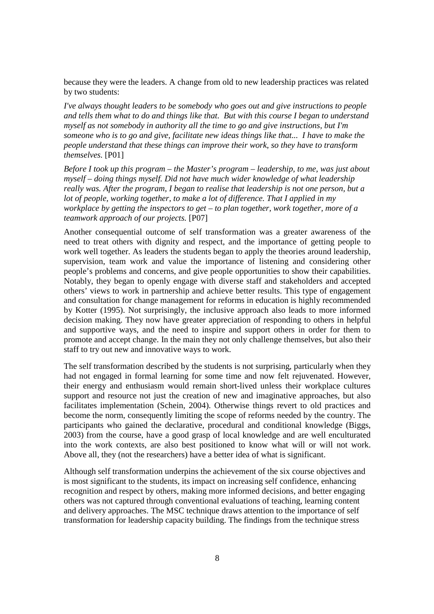because they were the leaders. A change from old to new leadership practices was related by two students:

*I've always thought leaders to be somebody who goes out and give instructions to people and tells them what to do and things like that. But with this course I began to understand myself as not somebody in authority all the time to go and give instructions, but I'm someone who is to go and give, facilitate new ideas things like that... I have to make the people understand that these things can improve their work, so they have to transform themselves.* [P01]

*Before I took up this program – the Master's program – leadership, to me, was just about myself – doing things myself. Did not have much wider knowledge of what leadership really was. After the program, I began to realise that leadership is not one person, but a lot of people, working together, to make a lot of difference. That I applied in my workplace by getting the inspectors to get – to plan together, work together, more of a teamwork approach of our projects.* [P07]

Another consequential outcome of self transformation was a greater awareness of the need to treat others with dignity and respect, and the importance of getting people to work well together. As leaders the students began to apply the theories around leadership, supervision, team work and value the importance of listening and considering other people's problems and concerns, and give people opportunities to show their capabilities. Notably, they began to openly engage with diverse staff and stakeholders and accepted others' views to work in partnership and achieve better results. This type of engagement and consultation for change management for reforms in education is highly recommended by Kotter (1995). Not surprisingly, the inclusive approach also leads to more informed decision making. They now have greater appreciation of responding to others in helpful and supportive ways, and the need to inspire and support others in order for them to promote and accept change. In the main they not only challenge themselves, but also their staff to try out new and innovative ways to work.

The self transformation described by the students is not surprising, particularly when they had not engaged in formal learning for some time and now felt rejuvenated. However, their energy and enthusiasm would remain short-lived unless their workplace cultures support and resource not just the creation of new and imaginative approaches, but also facilitates implementation (Schein, 2004). Otherwise things revert to old practices and become the norm, consequently limiting the scope of reforms needed by the country. The participants who gained the declarative, procedural and conditional knowledge (Biggs, 2003) from the course, have a good grasp of local knowledge and are well enculturated into the work contexts, are also best positioned to know what will or will not work. Above all, they (not the researchers) have a better idea of what is significant.

Although self transformation underpins the achievement of the six course objectives and is most significant to the students, its impact on increasing self confidence, enhancing recognition and respect by others, making more informed decisions, and better engaging others was not captured through conventional evaluations of teaching, learning content and delivery approaches. The MSC technique draws attention to the importance of self transformation for leadership capacity building. The findings from the technique stress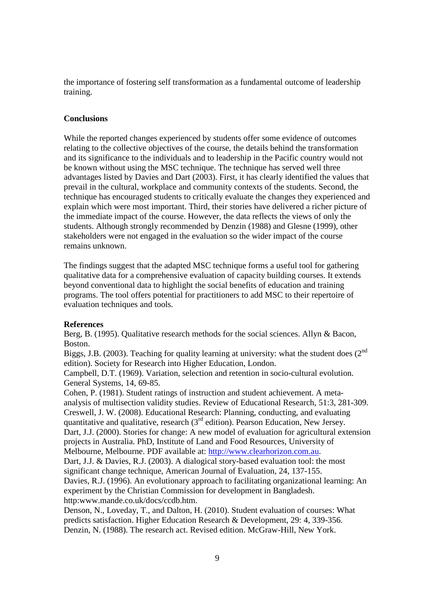the importance of fostering self transformation as a fundamental outcome of leadership training.

### **Conclusions**

While the reported changes experienced by students offer some evidence of outcomes relating to the collective objectives of the course, the details behind the transformation and its significance to the individuals and to leadership in the Pacific country would not be known without using the MSC technique. The technique has served well three advantages listed by Davies and Dart (2003). First, it has clearly identified the values that prevail in the cultural, workplace and community contexts of the students. Second, the technique has encouraged students to critically evaluate the changes they experienced and explain which were most important. Third, their stories have delivered a richer picture of the immediate impact of the course. However, the data reflects the views of only the students. Although strongly recommended by Denzin (1988) and Glesne (1999), other stakeholders were not engaged in the evaluation so the wider impact of the course remains unknown.

The findings suggest that the adapted MSC technique forms a useful tool for gathering qualitative data for a comprehensive evaluation of capacity building courses. It extends beyond conventional data to highlight the social benefits of education and training programs. The tool offers potential for practitioners to add MSC to their repertoire of evaluation techniques and tools.

### **References**

Berg, B. (1995). Qualitative research methods for the social sciences. Allyn & Bacon, Boston.

Biggs, J.B. (2003). Teaching for quality learning at university: what the student does  $(2^{nd}$ edition). Society for Research into Higher Education, London.

Campbell, D.T. (1969). Variation, selection and retention in socio-cultural evolution. General Systems, 14, 69-85.

Cohen, P. (1981). Student ratings of instruction and student achievement. A metaanalysis of multisection validity studies. Review of Educational Research, 51:3, 281-309. Creswell, J. W. (2008). Educational Research: Planning, conducting, and evaluating quantitative and qualitative, research (3rd edition). Pearson Education, New Jersey. Dart, J.J. (2000). Stories for change: A new model of evaluation for agricultural extension projects in Australia. PhD, Institute of Land and Food Resources, University of Melbourne, Melbourne. PDF available at: http://www.clearhorizon.com.au. Dart, J.J. & Davies, R.J. (2003). A dialogical story-based evaluation tool: the most significant change technique, American Journal of Evaluation, 24, 137-155. Davies, R.J. (1996). An evolutionary approach to facilitating organizational learning: An experiment by the Christian Commission for development in Bangladesh. http:www.mande.co.uk/docs/ccdb.htm.

Denson, N., Loveday, T., and Dalton, H. (2010). Student evaluation of courses: What predicts satisfaction. Higher Education Research & Development, 29: 4, 339-356. Denzin, N. (1988). The research act. Revised edition. McGraw-Hill, New York.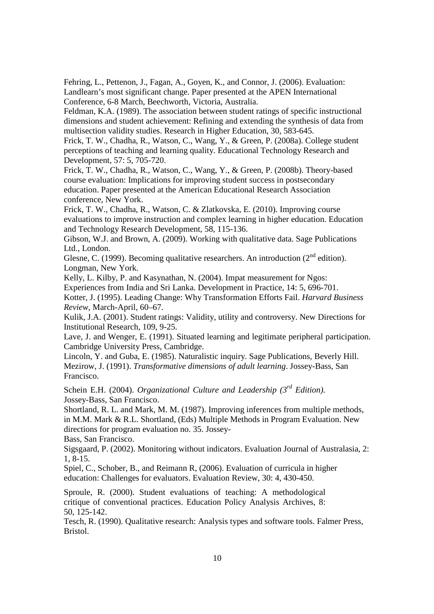Fehring, L., Pettenon, J., Fagan, A., Goyen, K., and Connor, J. (2006). Evaluation: Landlearn's most significant change. Paper presented at the APEN International Conference, 6-8 March, Beechworth, Victoria, Australia.

Feldman, K.A. (1989). The association between student ratings of specific instructional dimensions and student achievement: Refining and extending the synthesis of data from multisection validity studies. Research in Higher Education, 30, 583-645.

Frick, T. W., Chadha, R., Watson, C., Wang, Y., & Green, P. (2008a). College student perceptions of teaching and learning quality. Educational Technology Research and Development, 57: 5, 705-720.

Frick, T. W., Chadha, R., Watson, C., Wang, Y., & Green, P. (2008b). Theory-based course evaluation: Implications for improving student success in postsecondary education. Paper presented at the American Educational Research Association conference, New York.

Frick, T. W., Chadha, R., Watson, C. & Zlatkovska, E. (2010). Improving course evaluations to improve instruction and complex learning in higher education. Education and Technology Research Development, 58, 115-136.

Gibson, W.J. and Brown, A. (2009). Working with qualitative data. Sage Publications Ltd., London.

Glesne, C. (1999). Becoming qualitative researchers. An introduction  $(2<sup>nd</sup>$  edition). Longman, New York.

Kelly, L. Kilby, P. and Kasynathan, N. (2004). Impat measurement for Ngos:

Experiences from India and Sri Lanka. Development in Practice, 14: 5, 696-701.

Kotter, J. (1995). Leading Change: Why Transformation Efforts Fail. *Harvard Business Review*, March-April, 60–67.

Kulik, J.A. (2001). Student ratings: Validity, utility and controversy. New Directions for Institutional Research, 109, 9-25.

Lave, J. and Wenger, E. (1991). Situated learning and legitimate peripheral participation. Cambridge University Press, Cambridge.

Lincoln, Y. and Guba, E. (1985). Naturalistic inquiry. Sage Publications, Beverly Hill. Mezirow, J. (1991). *Transformative dimensions of adult learning*. Jossey-Bass, San Francisco.

Schein E.H. (2004). *Organizational Culture and Leadership (3rd Edition)*. Jossey-Bass, San Francisco.

Shortland, R. L. and Mark, M. M. (1987). Improving inferences from multiple methods, in M.M. Mark & R.L. Shortland, (Eds) Multiple Methods in Program Evaluation. New directions for program evaluation no. 35. Jossey-

Bass, San Francisco.

Sigsgaard, P. (2002). Monitoring without indicators. Evaluation Journal of Australasia, 2: 1, 8-15.

Spiel, C., Schober, B., and Reimann R, (2006). Evaluation of curricula in higher education: Challenges for evaluators. Evaluation Review, 30: 4, 430-450.

Sproule, R. (2000). Student evaluations of teaching: A methodological critique of conventional practices. Education Policy Analysis Archives, 8: 50, 125-142.

Tesch, R. (1990). Qualitative research: Analysis types and software tools. Falmer Press, Bristol.